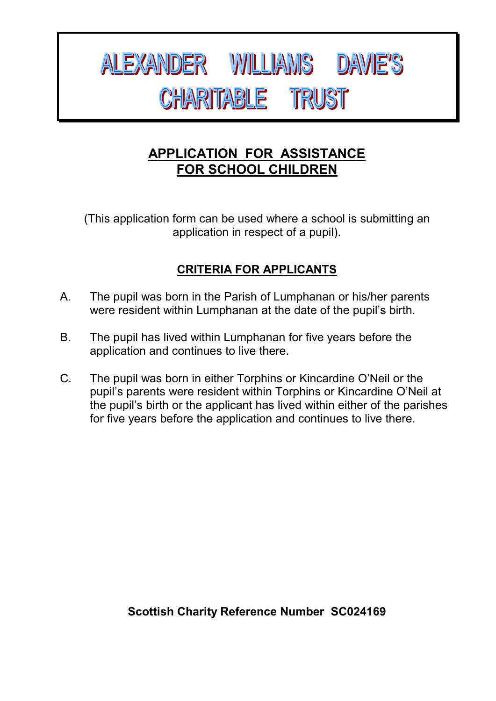# ALEXANDER WILLIAMS DAVIE'S **CHARITABLE TRUST**

#### **APPLICATION FOR ASSISTANCE FOR SCHOOL CHILDREN**

(This application form can be used where a school is submitting an application in respect of a pupil).

#### **CRITERIA FOR APPLICANTS**

- A. The pupil was born in the Parish of Lumphanan or his/her parents were resident within Lumphanan at the date of the pupil's birth.
- B. The pupil has lived within Lumphanan for five years before the application and continues to live there.
- C. The pupil was born in either Torphins or Kincardine O'Neil or the pupil's parents were resident within Torphins or Kincardine O'Neil at the pupil's birth or the applicant has lived within either of the parishes for five years before the application and continues to live there.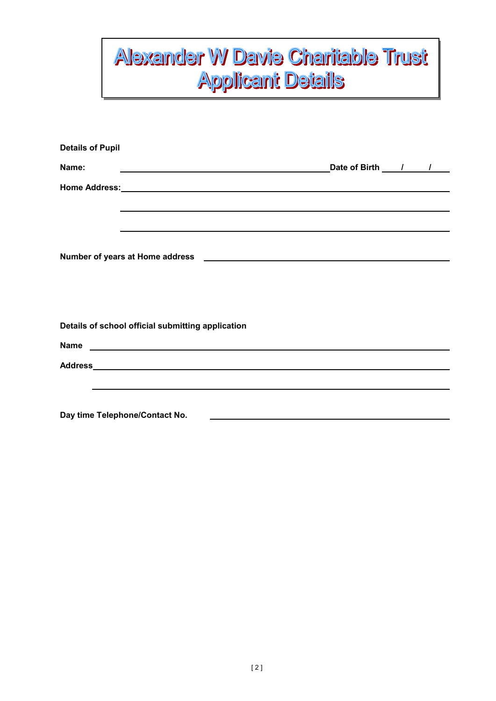### **Alexander W Davie Charitable Trust Applicant Details**

| <b>Details of Pupil</b> |                                                                                                                |  |                                                             |  |
|-------------------------|----------------------------------------------------------------------------------------------------------------|--|-------------------------------------------------------------|--|
| Name:                   | <u> 1989 - Andrea Stadt Britain, amerikansk politiker (</u>                                                    |  | Date of Birth 1 /                                           |  |
|                         |                                                                                                                |  |                                                             |  |
|                         |                                                                                                                |  |                                                             |  |
|                         |                                                                                                                |  |                                                             |  |
|                         |                                                                                                                |  |                                                             |  |
|                         |                                                                                                                |  |                                                             |  |
|                         |                                                                                                                |  |                                                             |  |
|                         |                                                                                                                |  |                                                             |  |
|                         | Details of school official submitting application                                                              |  |                                                             |  |
|                         |                                                                                                                |  |                                                             |  |
|                         | Address Address Address Address Address Address Address Address Address Address Address Address Address Addres |  |                                                             |  |
|                         |                                                                                                                |  |                                                             |  |
|                         |                                                                                                                |  |                                                             |  |
|                         | Day time Telephone/Contact No.                                                                                 |  | <u> 1989 - Johann Stein, Amerikaansk politiker (* 1958)</u> |  |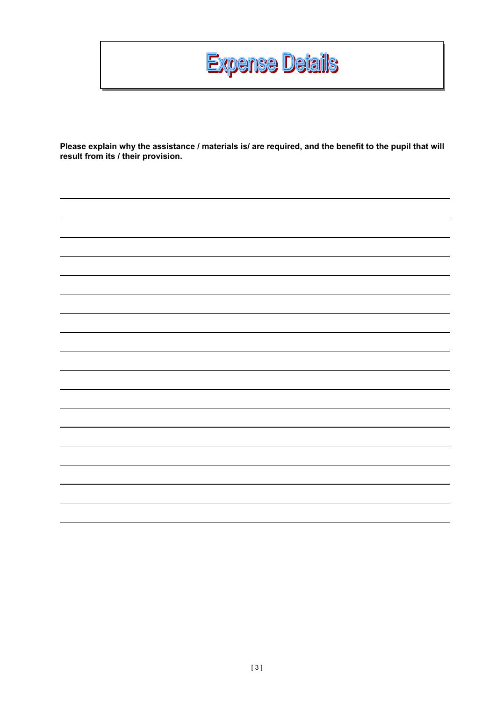

**Please explain why the assistance / materials is/ are required, and the benefit to the pupil that will result from its / their provision.**